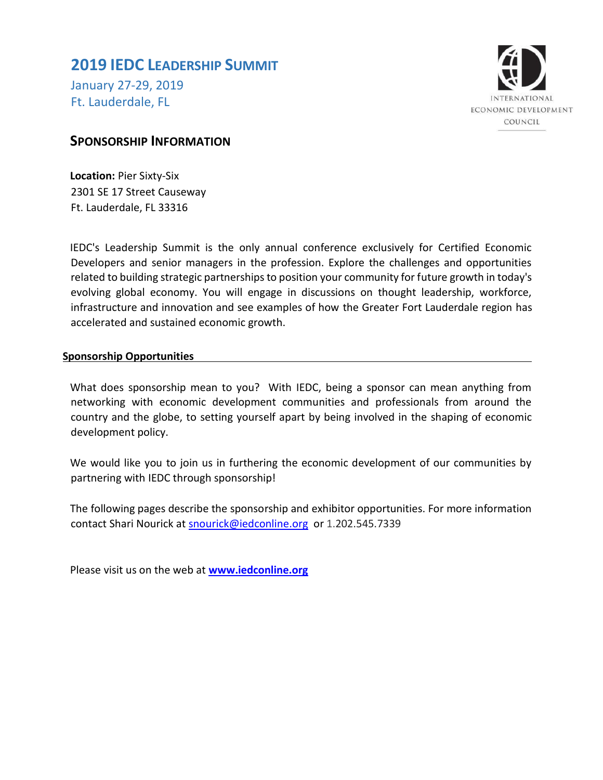## **2019 IEDC LEADERSHIP SUMMIT**

January 27-29, 2019 Ft. Lauderdale, FL



## **SPONSORSHIP INFORMATION**

**Location:** Pier Sixty-Six 2301 SE 17 Street Causeway Ft. Lauderdale, FL 33316

IEDC's Leadership Summit is the only annual conference exclusively for Certified Economic Developers and senior managers in the profession. Explore the challenges and opportunities related to building strategic partnerships to position your community for future growth in today's evolving global economy. You will engage in discussions on thought leadership, workforce, infrastructure and innovation and see examples of how the Greater Fort Lauderdale region has accelerated and sustained economic growth.

### **Sponsorship Opportunities**

What does sponsorship mean to you? With IEDC, being a sponsor can mean anything from networking with economic development communities and professionals from around the country and the globe, to setting yourself apart by being involved in the shaping of economic development policy.

We would like you to join us in furthering the economic development of our communities by partnering with IEDC through sponsorship!

The following pages describe the sponsorship and exhibitor opportunities. For more information contact Shari Nourick at snourick@iedconline.org or 1.202.545.7339

Please visit us on the web at **www.iedconline.org**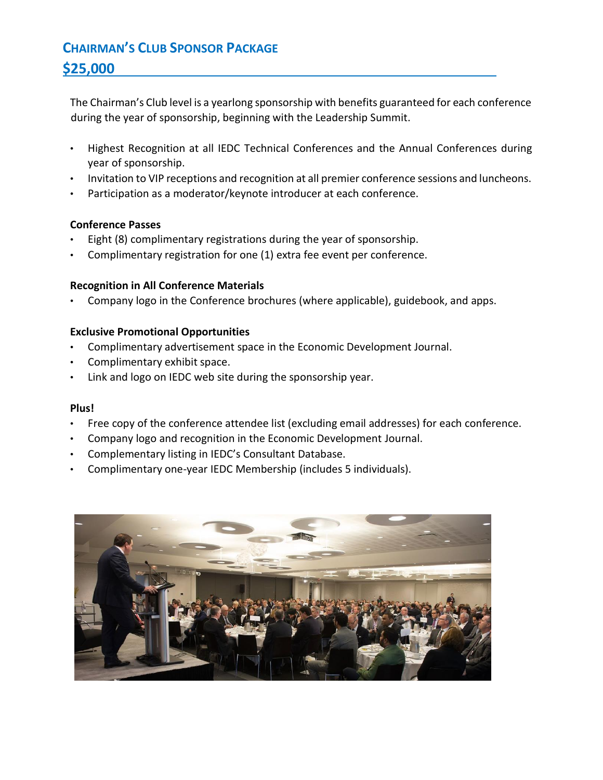# **CHAIRMAN'S CLUB SPONSOR PACKAGE \$25,000**

The Chairman's Club level is a yearlong sponsorship with benefits guaranteed for each conference during the year of sponsorship, beginning with the Leadership Summit.

- Highest Recognition at all IEDC Technical Conferences and the Annual Conferences during year of sponsorship.
- Invitation to VIP receptions and recognition at all premier conference sessions and luncheons.
- Participation as a moderator/keynote introducer at each conference.

### **Conference Passes**

- Eight (8) complimentary registrations during the year of sponsorship.
- Complimentary registration for one (1) extra fee event per conference.

### **Recognition in All Conference Materials**

• Company logo in the Conference brochures (where applicable), guidebook, and apps.

### **Exclusive Promotional Opportunities**

- Complimentary advertisement space in the Economic Development Journal.
- Complimentary exhibit space.
- Link and logo on IEDC web site during the sponsorship year.

- Free copy of the conference attendee list (excluding email addresses) for each conference.
- Company logo and recognition in the Economic Development Journal.
- Complementary listing in IEDC's Consultant Database.
- Complimentary one-year IEDC Membership (includes 5 individuals).

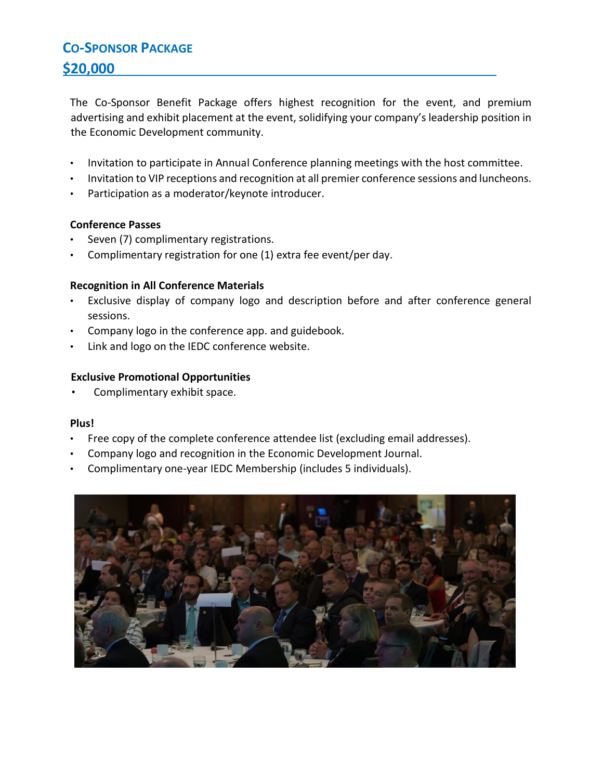# **CO-SPONSOR PACKAGE \$20,000**

The Co-Sponsor Benefit Package offers highest recognition for the event, and premium advertising and exhibit placement at the event, solidifying your company's leadership position in the Economic Development community.

- Invitation to participate in Annual Conference planning meetings with the host committee.
- Invitation to VIP receptions and recognition at all premier conference sessions and luncheons.
- Participation as a moderator/keynote introducer.

### **Conference Passes**

- Seven (7) complimentary registrations.
- Complimentary registration for one (1) extra fee event/per day.

### **Recognition in All Conference Materials**

- Exclusive display of company logo and description before and after conference general sessions.
- Company logo in the conference app. and guidebook.
- Link and logo on the IEDC conference website.

### **Exclusive Promotional Opportunities**

Complimentary exhibit space.

- Free copy of the complete conference attendee list (excluding email addresses).
- Company logo and recognition in the Economic Development Journal.
- Complimentary one-year IEDC Membership (includes 5 individuals).

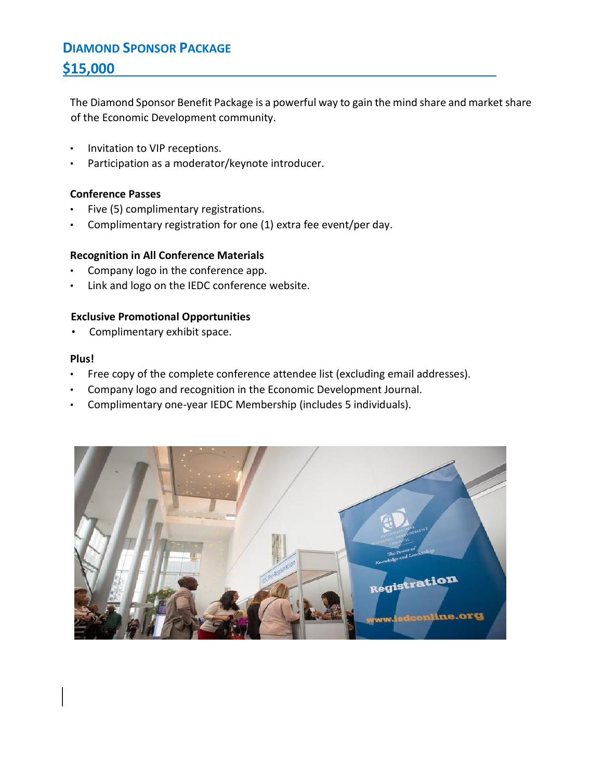# **DIAMOND SPONSOR PACKAGE \$15,000**

The Diamond Sponsor Benefit Package is a powerful way to gain the mind share and market share of the Economic Development community.

- Invitation to VIP receptions.
- Participation as a moderator/keynote introducer.

### **Conference Passes**

- Five (5) complimentary registrations.
- Complimentary registration for one (1) extra fee event/per day.

### **Recognition in All Conference Materials**

- Company logo in the conference app.
- Link and logo on the IEDC conference website.

### **Exclusive Promotional Opportunities**

• Complimentary exhibit space.

- Free copy of the complete conference attendee list (excluding email addresses).
- Company logo and recognition in the Economic Development Journal.
- Complimentary one-year IEDC Membership (includes 5 individuals).

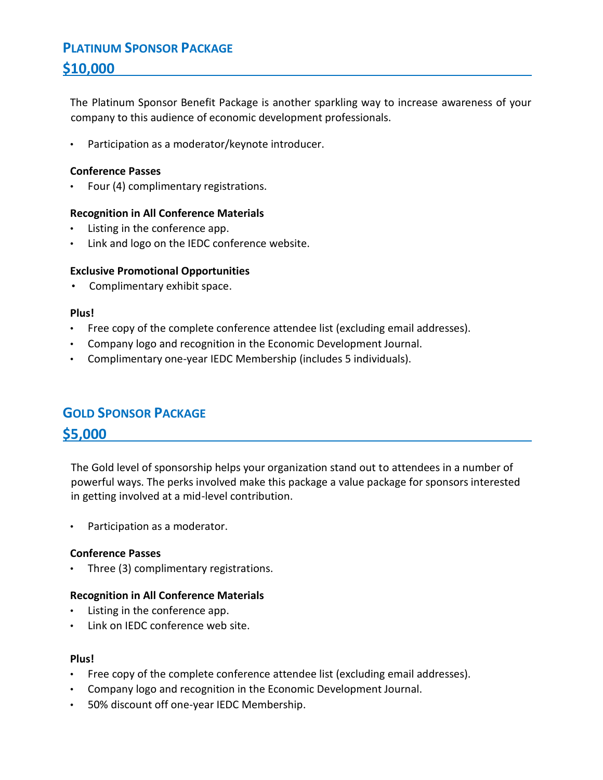# **PLATINUM SPONSOR PACKAGE \$10,000**

The Platinum Sponsor Benefit Package is another sparkling way to increase awareness of your company to this audience of economic development professionals.

Participation as a moderator/keynote introducer.

### **Conference Passes**

• Four (4) complimentary registrations.

### **Recognition in All Conference Materials**

- Listing in the conference app.
- Link and logo on the IEDC conference website.

### **Exclusive Promotional Opportunities**

• Complimentary exhibit space.

### **Plus!**

- Free copy of the complete conference attendee list (excluding email addresses).
- Company logo and recognition in the Economic Development Journal.
- Complimentary one-year IEDC Membership (includes 5 individuals).

## **GOLD SPONSOR PACKAGE**

### **\$5,000**

The Gold level of sponsorship helps your organization stand out to attendees in a number of powerful ways. The perks involved make this package a value package for sponsors interested in getting involved at a mid-level contribution.

• Participation as a moderator.

### **Conference Passes**

• Three (3) complimentary registrations.

### **Recognition in All Conference Materials**

- Listing in the conference app.
- Link on IEDC conference web site.

- Free copy of the complete conference attendee list (excluding email addresses).
- Company logo and recognition in the Economic Development Journal.
- 50% discount off one-year IEDC Membership.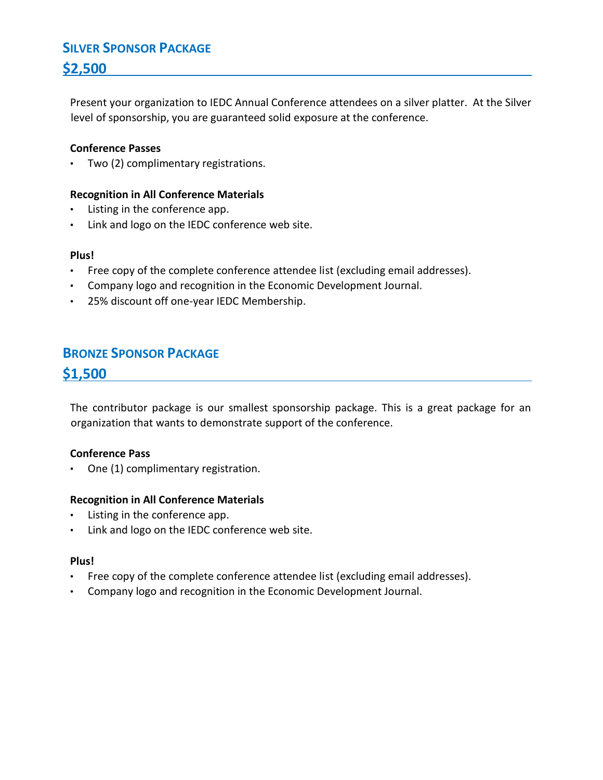# **SILVER SPONSOR PACKAGE \$2,500**

Present your organization to IEDC Annual Conference attendees on a silver platter. At the Silver level of sponsorship, you are guaranteed solid exposure at the conference.

### **Conference Passes**

• Two (2) complimentary registrations.

### **Recognition in All Conference Materials**

- Listing in the conference app.
- Link and logo on the IEDC conference web site.

### **Plus!**

- Free copy of the complete conference attendee list (excluding email addresses).
- Company logo and recognition in the Economic Development Journal.
- 25% discount off one-year IEDC Membership.

## **BRONZE SPONSOR PACKAGE**

**\$1,500**

The contributor package is our smallest sponsorship package. This is a great package for an organization that wants to demonstrate support of the conference.

### **Conference Pass**

• One (1) complimentary registration.

### **Recognition in All Conference Materials**

- Listing in the conference app.
- Link and logo on the IEDC conference web site.

- Free copy of the complete conference attendee list (excluding email addresses).
- Company logo and recognition in the Economic Development Journal.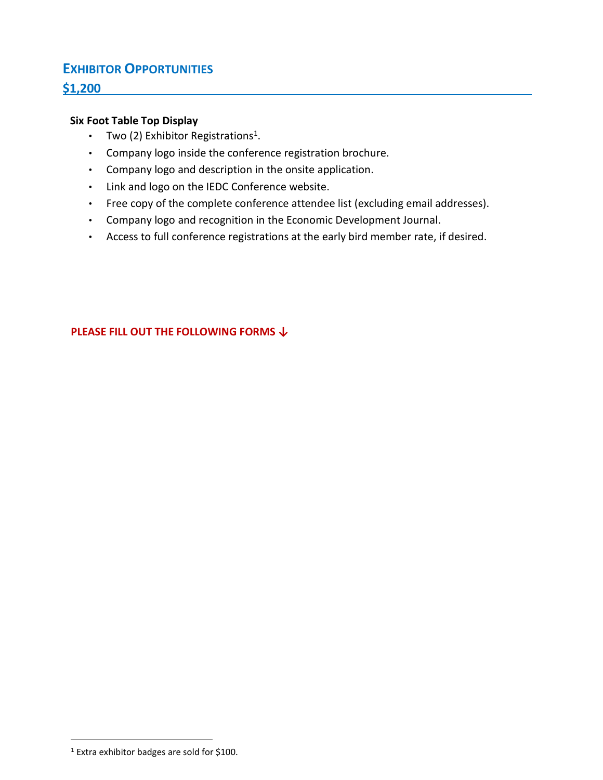## **EXHIBITOR OPPORTUNITIES**

### **\$1,200**

### **Six Foot Table Top Display**

- Two (2) Exhibitor Registrations<sup>1</sup>.
- Company logo inside the conference registration brochure.
- Company logo and description in the onsite application.
- Link and logo on the IEDC Conference website.
- Free copy of the complete conference attendee list (excluding email addresses).
- Company logo and recognition in the Economic Development Journal.
- Access to full conference registrations at the early bird member rate, if desired.

**PLEASE FILL OUT THE FOLLOWING FORMS ↓** 

 $\overline{a}$ 

<sup>1</sup> Extra exhibitor badges are sold for \$100.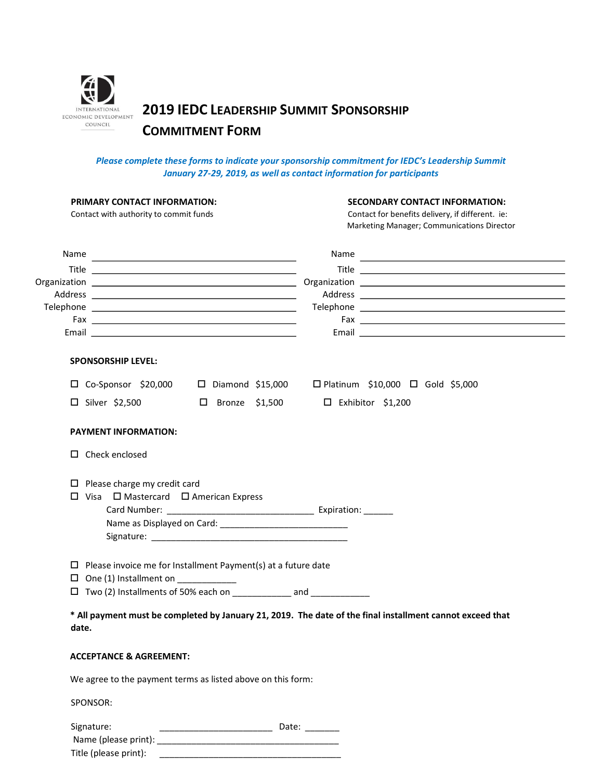

**2019 IEDC LEADERSHIP SUMMIT SPONSORSHIP** 

## **COMMITMENT FORM**

#### *Please complete these forms to indicate your sponsorship commitment for IEDC's Leadership Summit January 27-29, 2019, as well as contact information for participants*

| PRIMARY CONTACT INFORMATION:<br>Contact with authority to commit funds  | <b>SECONDARY CONTACT INFORMATION:</b><br>Contact for benefits delivery, if different. ie:<br>Marketing Manager; Communications Director |  |
|-------------------------------------------------------------------------|-----------------------------------------------------------------------------------------------------------------------------------------|--|
| Name                                                                    |                                                                                                                                         |  |
|                                                                         |                                                                                                                                         |  |
|                                                                         |                                                                                                                                         |  |
|                                                                         |                                                                                                                                         |  |
|                                                                         |                                                                                                                                         |  |
|                                                                         |                                                                                                                                         |  |
| <b>SPONSORSHIP LEVEL:</b>                                               |                                                                                                                                         |  |
|                                                                         | $\Box$ Co-Sponsor \$20,000 $\Box$ Diamond \$15,000 $\Box$ Platinum \$10,000 $\Box$ Gold \$5,000                                         |  |
| $\square$ Silver \$2,500<br>$\square$ Bronze \$1,500                    | $\Box$ Exhibitor \$1,200                                                                                                                |  |
| <b>PAYMENT INFORMATION:</b>                                             |                                                                                                                                         |  |
| $\Box$ Check enclosed                                                   |                                                                                                                                         |  |
| $\Box$ Please charge my credit card                                     |                                                                                                                                         |  |
| $\square$ Visa $\square$ Mastercard $\square$ American Express          |                                                                                                                                         |  |
|                                                                         |                                                                                                                                         |  |
|                                                                         |                                                                                                                                         |  |
|                                                                         |                                                                                                                                         |  |
| $\Box$ Please invoice me for Installment Payment(s) at a future date    |                                                                                                                                         |  |
| $\Box$ One (1) Installment on __________                                |                                                                                                                                         |  |
| □ Two (2) Installments of 50% each on ______________ and ______________ |                                                                                                                                         |  |
|                                                                         | * All payment must be completed by January 21, 2019. The date of the final installment cannot exceed that                               |  |
| date.                                                                   |                                                                                                                                         |  |
| <b>ACCEPTANCE &amp; AGREEMENT:</b>                                      |                                                                                                                                         |  |
| We agree to the payment terms as listed above on this form:             |                                                                                                                                         |  |
| SPONSOR:                                                                |                                                                                                                                         |  |
| Sianstring                                                              | Date'                                                                                                                                   |  |

| Signature:            | Date: |
|-----------------------|-------|
| Name (please print):  |       |
| Title (please print): |       |